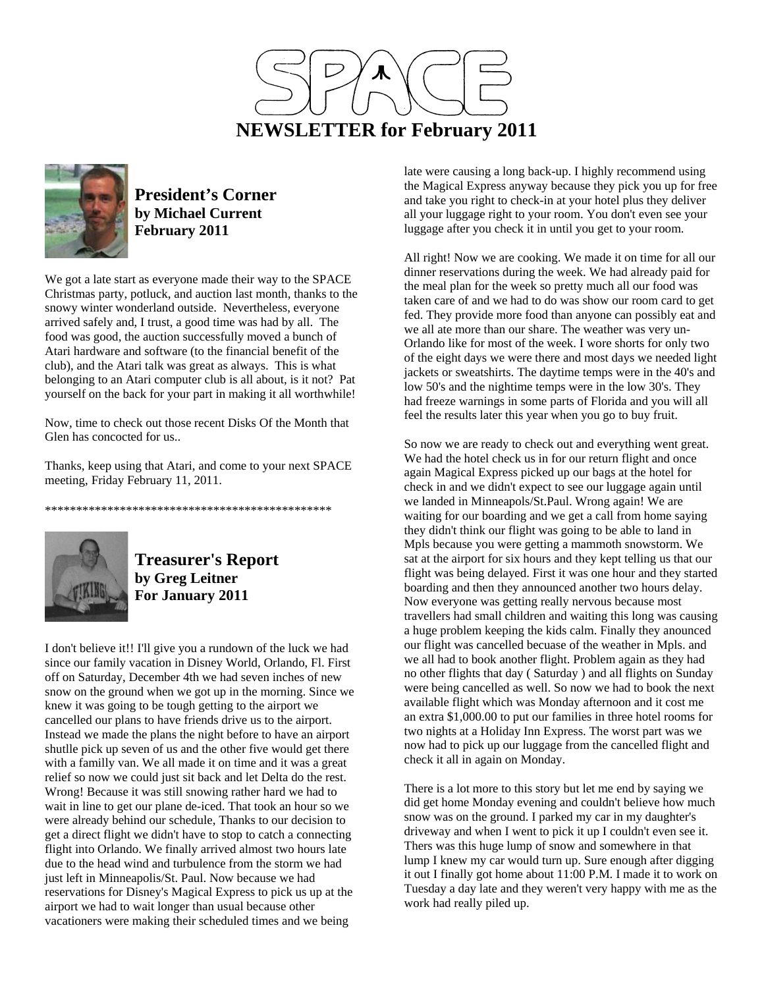



## **President's Corner by Michael Current February 2011**

We got a late start as everyone made their way to the SPACE Christmas party, potluck, and auction last month, thanks to the snowy winter wonderland outside. Nevertheless, everyone arrived safely and, I trust, a good time was had by all. The food was good, the auction successfully moved a bunch of Atari hardware and software (to the financial benefit of the club), and the Atari talk was great as always. This is what belonging to an Atari computer club is all about, is it not? Pat yourself on the back for your part in making it all worthwhile!

Now, time to check out those recent Disks Of the Month that Glen has concocted for us..

Thanks, keep using that Atari, and come to your next SPACE meeting, Friday February 11, 2011.

\*\*\*\*\*\*\*\*\*\*\*\*\*\*\*\*\*\*\*\*\*\*\*\*\*\*\*\*\*\*\*\*\*\*\*\*\*\*\*\*\*\*\*\*\*\*



**Treasurer's Report by Greg Leitner For January 2011** 

I don't believe it!! I'll give you a rundown of the luck we had since our family vacation in Disney World, Orlando, Fl. First off on Saturday, December 4th we had seven inches of new snow on the ground when we got up in the morning. Since we knew it was going to be tough getting to the airport we cancelled our plans to have friends drive us to the airport. Instead we made the plans the night before to have an airport shutlle pick up seven of us and the other five would get there with a familly van. We all made it on time and it was a great relief so now we could just sit back and let Delta do the rest. Wrong! Because it was still snowing rather hard we had to wait in line to get our plane de-iced. That took an hour so we were already behind our schedule, Thanks to our decision to get a direct flight we didn't have to stop to catch a connecting flight into Orlando. We finally arrived almost two hours late due to the head wind and turbulence from the storm we had just left in Minneapolis/St. Paul. Now because we had reservations for Disney's Magical Express to pick us up at the airport we had to wait longer than usual because other vacationers were making their scheduled times and we being

late were causing a long back-up. I highly recommend using the Magical Express anyway because they pick you up for free and take you right to check-in at your hotel plus they deliver all your luggage right to your room. You don't even see your luggage after you check it in until you get to your room.

All right! Now we are cooking. We made it on time for all our dinner reservations during the week. We had already paid for the meal plan for the week so pretty much all our food was taken care of and we had to do was show our room card to get fed. They provide more food than anyone can possibly eat and we all ate more than our share. The weather was very un-Orlando like for most of the week. I wore shorts for only two of the eight days we were there and most days we needed light jackets or sweatshirts. The daytime temps were in the 40's and low 50's and the nightime temps were in the low 30's. They had freeze warnings in some parts of Florida and you will all feel the results later this year when you go to buy fruit.

So now we are ready to check out and everything went great. We had the hotel check us in for our return flight and once again Magical Express picked up our bags at the hotel for check in and we didn't expect to see our luggage again until we landed in Minneapols/St.Paul. Wrong again! We are waiting for our boarding and we get a call from home saying they didn't think our flight was going to be able to land in Mpls because you were getting a mammoth snowstorm. We sat at the airport for six hours and they kept telling us that our flight was being delayed. First it was one hour and they started boarding and then they announced another two hours delay. Now everyone was getting really nervous because most travellers had small children and waiting this long was causing a huge problem keeping the kids calm. Finally they anounced our flight was cancelled becuase of the weather in Mpls. and we all had to book another flight. Problem again as they had no other flights that day ( Saturday ) and all flights on Sunday were being cancelled as well. So now we had to book the next available flight which was Monday afternoon and it cost me an extra \$1,000.00 to put our families in three hotel rooms for two nights at a Holiday Inn Express. The worst part was we now had to pick up our luggage from the cancelled flight and check it all in again on Monday.

There is a lot more to this story but let me end by saying we did get home Monday evening and couldn't believe how much snow was on the ground. I parked my car in my daughter's driveway and when I went to pick it up I couldn't even see it. Thers was this huge lump of snow and somewhere in that lump I knew my car would turn up. Sure enough after digging it out I finally got home about 11:00 P.M. I made it to work on Tuesday a day late and they weren't very happy with me as the work had really piled up.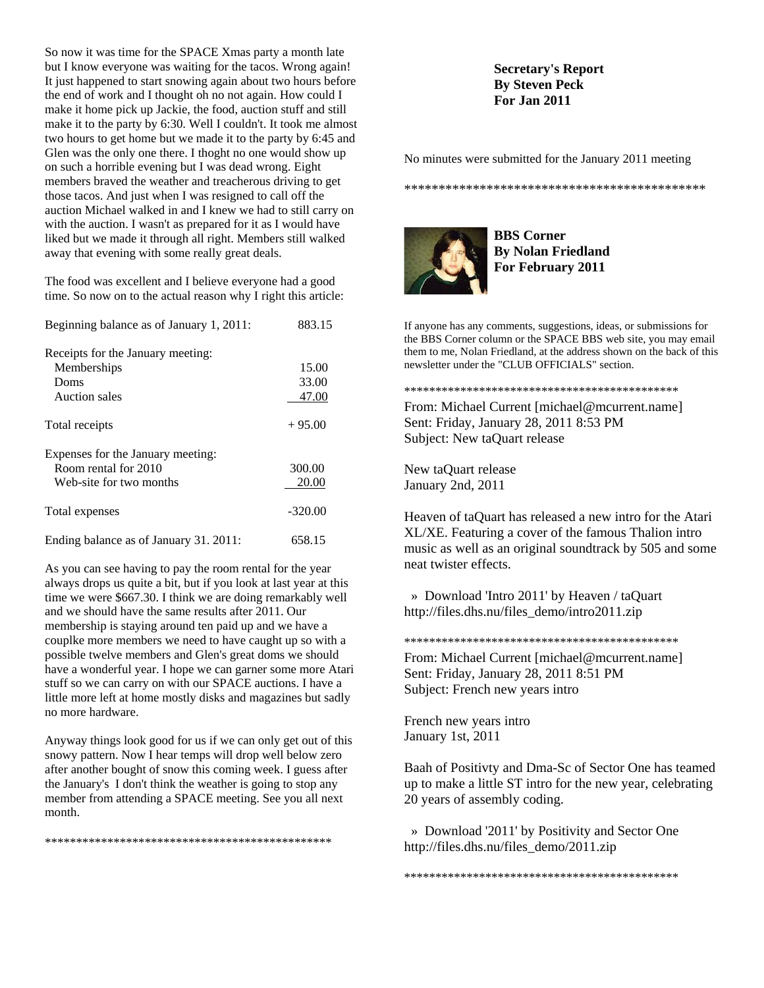So now it was time for the SPACE Xmas party a month late but I know everyone was waiting for the tacos. Wrong again! It just happened to start snowing again about two hours before the end of work and I thought oh no not again. How could I make it home pick up Jackie, the food, auction stuff and still make it to the party by 6:30. Well I couldn't. It took me almost two hours to get home but we made it to the party by 6:45 and Glen was the only one there. I thoght no one would show up on such a horrible evening but I was dead wrong. Eight members braved the weather and treacherous driving to get those tacos. And just when I was resigned to call off the auction Michael walked in and I knew we had to still carry on with the auction. I wasn't as prepared for it as I would have liked but we made it through all right. Members still walked away that evening with some really great deals.

The food was excellent and I believe everyone had a good time. So now on to the actual reason why I right this article:

| Beginning balance as of January 1, 2011: | 883.15    |
|------------------------------------------|-----------|
| Receipts for the January meeting:        |           |
| Memberships                              | 15.00     |
| Doms                                     | 33.00     |
| Auction sales                            | 47.00     |
| Total receipts                           | $+95.00$  |
| Expenses for the January meeting:        |           |
| Room rental for 2010                     | 300.00    |
| Web-site for two months                  | 20.00     |
| Total expenses                           | $-320.00$ |
| Ending balance as of January 31, 2011:   | 658.15    |

As you can see having to pay the room rental for the year always drops us quite a bit, but if you look at last year at this time we were \$667.30. I think we are doing remarkably well and we should have the same results after 2011. Our membership is staying around ten paid up and we have a couplke more members we need to have caught up so with a possible twelve members and Glen's great doms we should have a wonderful year. I hope we can garner some more Atari stuff so we can carry on with our SPACE auctions. I have a little more left at home mostly disks and magazines but sadly no more hardware.

Anyway things look good for us if we can only get out of this snowy pattern. Now I hear temps will drop well below zero after another bought of snow this coming week. I guess after the January's I don't think the weather is going to stop any member from attending a SPACE meeting. See you all next month.

\*\*\*\*\*\*\*\*\*\*\*\*\*\*\*\*\*\*\*\*\*\*\*\*\*\*\*\*\*\*\*\*\*\*\*\*\*\*\*\*\*\*\*\*\*\*

## **Secretary's Report By Steven Peck For Jan 2011**

No minutes were submitted for the January 2011 meeting

\*\*\*\*\*\*\*\*\*\*\*\*\*\*\*\*\*\*\*\*\*\*\*\*\*\*\*\*\*\*\*\*\*\*\*\*\*\*\*\*\*\*\*\*



**BBS Corner By Nolan Friedland For February 2011** 

If anyone has any comments, suggestions, ideas, or submissions for the BBS Corner column or the SPACE BBS web site, you may email them to me, Nolan Friedland, at the address shown on the back of this newsletter under the "CLUB OFFICIALS" section.

From: Michael Current [michael@mcurrent.name] Sent: Friday, January 28, 2011 8:53 PM Subject: New taQuart release

\*\*\*\*\*\*\*\*\*\*\*\*\*\*\*\*\*\*\*\*\*\*\*\*\*\*\*\*\*\*\*\*\*\*\*\*\*\*\*\*\*\*\*\*

New taQuart release January 2nd, 2011

Heaven of taQuart has released a new intro for the Atari XL/XE. Featuring a cover of the famous Thalion intro music as well as an original soundtrack by 505 and some neat twister effects.

 » Download 'Intro 2011' by Heaven / taQuart http://files.dhs.nu/files\_demo/intro2011.zip

\*\*\*\*\*\*\*\*\*\*\*\*\*\*\*\*\*\*\*\*\*\*\*\*\*\*\*\*\*\*\*\*\*\*\*\*\*\*\*\*\*\*\*\* From: Michael Current [michael@mcurrent.name] Sent: Friday, January 28, 2011 8:51 PM Subject: French new years intro

French new years intro January 1st, 2011

Baah of Positivty and Dma-Sc of Sector One has teamed up to make a little ST intro for the new year, celebrating 20 years of assembly coding.

 » Download '2011' by Positivity and Sector One http://files.dhs.nu/files\_demo/2011.zip

\*\*\*\*\*\*\*\*\*\*\*\*\*\*\*\*\*\*\*\*\*\*\*\*\*\*\*\*\*\*\*\*\*\*\*\*\*\*\*\*\*\*\*\*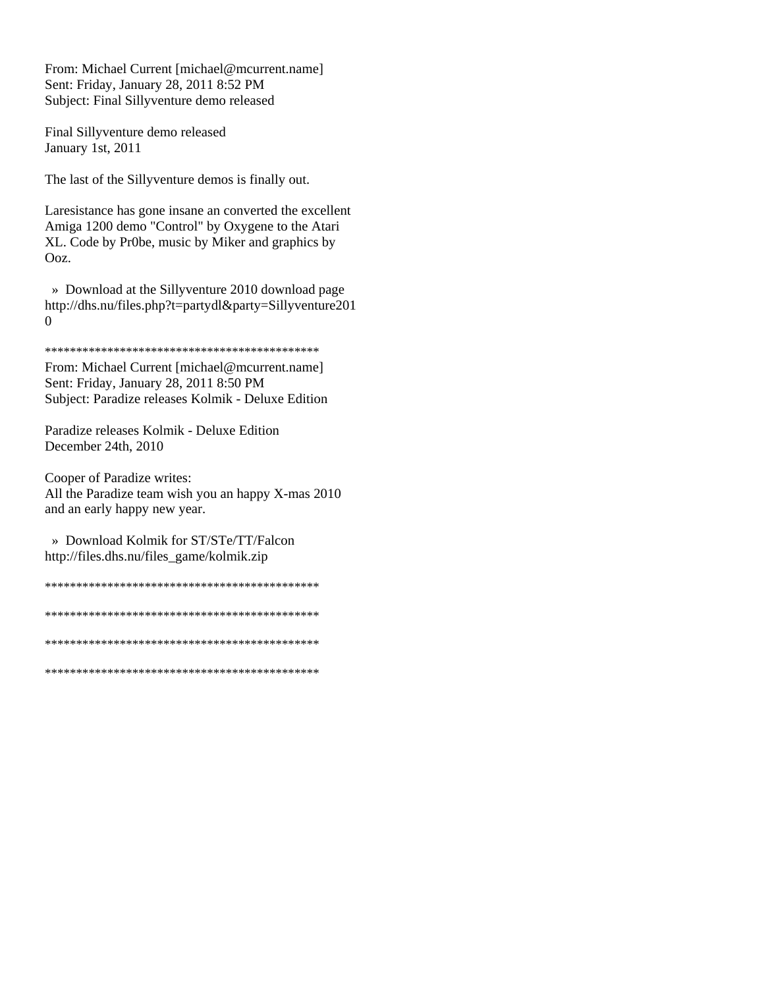From: Michael Current [michael@mcurrent.name] Sent: Friday, January 28, 2011 8:52 PM Subject: Final Sillyventure demo released

Final Sillyventure demo released January 1st, 2011

The last of the Sillyventure demos is finally out.

Laresistance has gone insane an converted the excellent Amiga 1200 demo "Control" by Oxygene to the Atari XL. Code by Pr0be, music by Miker and graphics by Ooz.

» Download at the Sillyventure 2010 download page http://dhs.nu/files.php?t=partydl&party=Sillyventure201  $\overline{0}$ 

From: Michael Current [michael@mcurrent.name] Sent: Friday, January 28, 2011 8:50 PM Subject: Paradize releases Kolmik - Deluxe Edition

Paradize releases Kolmik - Deluxe Edition December 24th, 2010

Cooper of Paradize writes: All the Paradize team wish you an happy X-mas 2010 and an early happy new year.

» Download Kolmik for ST/STe/TT/Falcon http://files.dhs.nu/files\_game/kolmik.zip